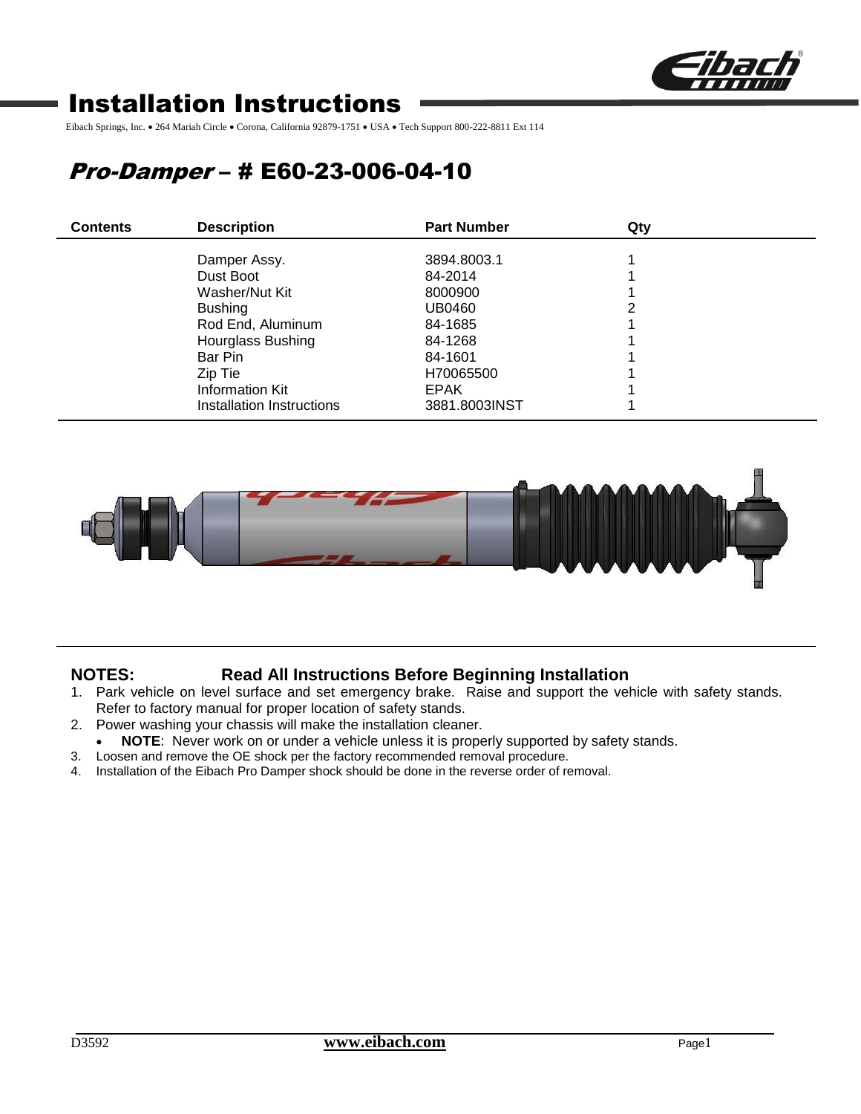

# Installation Instructions

Eibach Springs, Inc. • 264 Mariah Circle • Corona, California 92879-1751 • USA • Tech Support 800-222-8811 Ext 114

# Pro-Damper – # E60-23-006-04-10

| <b>Contents</b> | <b>Description</b>        | <b>Part Number</b> | Qty |  |
|-----------------|---------------------------|--------------------|-----|--|
|                 | Damper Assy.              | 3894.8003.1        |     |  |
|                 | Dust Boot                 | 84-2014            |     |  |
|                 | Washer/Nut Kit            | 8000900            |     |  |
|                 | <b>Bushing</b>            | UB0460             |     |  |
|                 | Rod End, Aluminum         | 84-1685            |     |  |
|                 | Hourglass Bushing         | 84-1268            |     |  |
|                 | Bar Pin                   | 84-1601            |     |  |
|                 | Zip Tie                   | H70065500          |     |  |
|                 | Information Kit           | <b>EPAK</b>        |     |  |
|                 | Installation Instructions | 3881.8003INST      |     |  |



## **NOTES: Read All Instructions Before Beginning Installation**

- 1. Park vehicle on level surface and set emergency brake. Raise and support the vehicle with safety stands. Refer to factory manual for proper location of safety stands.
- 2. Power washing your chassis will make the installation cleaner.
- **NOTE**: Never work on or under a vehicle unless it is properly supported by safety stands.
- 3. Loosen and remove the OE shock per the factory recommended removal procedure.
- 4. Installation of the Eibach Pro Damper shock should be done in the reverse order of removal.